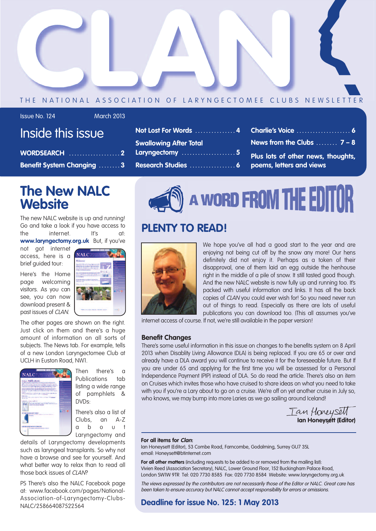

#### THE NATIONAL ASSOCIATION OF LARYNGECTOMEE CLUBS NEWSLETTER

| <b>Issue No. 124</b> |  |  |
|----------------------|--|--|
|                      |  |  |

#### **March 2013**

|  | Inside this issue |
|--|-------------------|
|  |                   |
|  |                   |
|  |                   |

| WORDSEARCH 2                     |
|----------------------------------|
| <b>Benefit System Changing 3</b> |

## **The New NALC Website**

The new NALC website is up and running! Go and take a look if you have access to the internet. It's at:

**www.laryngectomy.org.uk** But, if you've

not got internet access, here is a brief guided tour:

Here's the Home page welcoming visitors. As you can see, you can now download present & past issues of CLAN.



The other pages are shown on the right. Just click on them and there's a huge amount of information on all sorts of subjects. The News tab. For example, tells of a new London Laryngectomee Club at UCLH in Euston Road, NW1.



Then there's a Publications tab listing a wide range of pamphlets & DVDs:

There's also a list of Clubs, an A-Z a b o u t Laryngectomy and

details of Laryngectomy developments such as laryngeal transplants. So why not have a browse and see for yourself. And what better way to relax than to read all those back issues of CLAN?

PS There's also the NALC Facebook page at: www.facebook.com/pages/National-Association-of-Laryngectomy-Clubs-NALC/258664087522564



- **Charlie's Voice . . . . . . . . . . . . . . . . . . . . 6 News from the Clubs . . . . . . . . 7 – 8**
- 
- **Plus lots of other news, thoughts, poems, letters and views**



## **PLENTY TO READ!**



We hope you've all had a good start to the year and are enjoying not being cut off by the snow any more! Our hens definitely did not enjoy it. Perhaps as a token of their disapproval, one of them laid an egg outside the henhouse right in the middle of a pile of snow. It still tasted good though. And the new NALC website is now fully up and running too. It's packed with useful information and links. It has all the back copies of CLAN you could ever wish for! So you need never run out of things to read. Especially as there are lots of useful publications you can download too. (This all assumes you've

internet access of course. If not, we're still available in the paper version!

#### **Benefit Changes**

There's some useful information in this issue on changes to the benefits system on 8 April 2013 when Disablity Living Allowance (DLA) is being replaced. If you are 65 or over and already have a DLA award you will continue to receive it for the foreseeable future. But If you are under 65 and applying for the first time you will be assessed for a Personal Independence Payment (PIP) instead of DLA. So do read the article. There's also an item on Cruises which invites those who have cruised to share ideas on what you need to take with you if you're a Lary about to go on a cruise. We're off on yet another cruise in July so. who knows, we may bump into more Laries as we ao sailing around Iceland!

**Ian Honeysett (Editor)**

#### **For all items for Clan:**

Ian Honeysett (Editor), 53 Combe Road, Farncombe, Godalming, Surrey GU7 3SL email: Honeysett@btinternet.com

**For all other matters** (including requests to be added to or removed from the mailing list): Vivien Reed (Association Secretary), NALC, Lower Ground Floor, 152 Buckingham Palace Road, London SW1W 9TR Tel: 020 7730 8585 Fax: 020 7730 8584 Website: www.laryngectomy.org.uk

The views expressed by the contributors are not necessarily those of the Editor or NALC. Great care has been taken to ensure accuracy but NALC cannot accept responsibility for errors or omissions.

#### **Deadline for issue No. 125: 1 May 2013**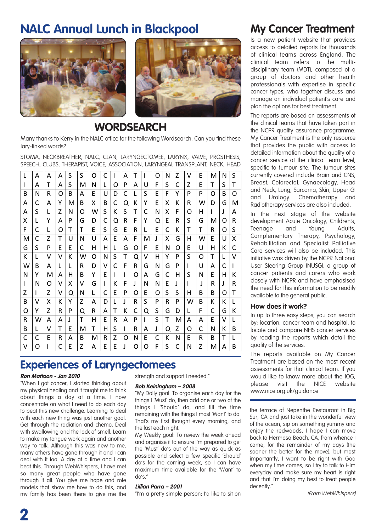## **NALC Annual Lunch in Blackpool**



#### **WORDSEARCH**

Many thanks to Kerry in the NALC office for the following Wordsearch. Can you find these lary-linked words? The state of the state of the state of the state of the state of the state of the state of

STOMA, NECKBREATHER, NALC, CLAN, LARYNGECTOMEE, LARYNX, VALVE, PROSTHESIS, SPEECH, CLUBS, THERAPIST, VOICE, ASSOCIATION, LARYNGEAL TRANSPLANT, NECK, HEAD ! '' '' '' ''%!!#\*5%"5#(&'''/%-0(1)%/'"-%(!4/%("&'''()\*+&'''.)%7' ! '' '' '' ''%!!#\*5%"5#(&'''/%-0(1)%/'"-%(!4/%("&'''()\*+&'''.)%7' ! '' '' '' ''%!!#\*5%"5#(&'''/%-0(1)%/'"-%(!4/%("&'''()\*+&'''.)%7'

| L | A | A | A | S | S | Ω | C | ı | A | т | I | Ω | N | Z | v | E | M | N | S |
|---|---|---|---|---|---|---|---|---|---|---|---|---|---|---|---|---|---|---|---|
| I | A | т | А | S | м | N | L | Ω | P | А | U | F | S | C | Z | F | т | S | т |
| B | N | R | Ω | B | A | F | U | D | C | L | S | E | F | Υ | P | P | Ω | B | Ω |
| A | C | A | Υ | м | B | x | B | C | O | К | Υ | E | X | К | R | w | D | G | м |
| А | S | L | Z | N | Ω | w | S | Κ | S | т | C | N | x | F | Ω | н |   | J | A |
| X | L | Υ | А | P | G | D | C | Q | R | F | Υ | Q | E | R | S | G | м | Ω | R |
| F | C | L | Ω | т | т | E | S | G | E | R | L | E | C | К | т | т | R | Ω | S |
| м | C | Z | т | U | N | U | A | E | А | F | M | J | х | G | н | w | F | U | Χ |
| G | S | P | F | F | C | н | н | L | G | O | F | F | N | Ω | E | U | н | К | C |
| К | L | v | v | К | w | Ω | N | S | т | Q | V | н | Υ | P | S | O | т | L | v |
| w | B | A | L | L | R | D | v | C | F | R | G | N | G | P | L | U | A | C | I |
| N | Υ | м | А | н | B | Υ | F | L | I | Ω | A | G | C | н | S | N | F | н | Κ |
| ı | N | Ω | v | x | v | G | I | К | F | J | N | N | E | J | L | J | R | J | R |
| Z | ı | Z | v | O | N | L | C | E | P | O | E | O | S | S | н | В | B | Ω | т |
| B | v | x | к | γ | Z | A | D | L | J | R | S | P | R | P | w | B | К | Κ | L |
| Q | Υ | Z | R | P | Q | R | A | т | К | C | Q | S | G | D | L | F | C | G | Κ |
| R | W | А | А | J | т | н | E | R | A | P | I | S | т | M | А | А | E | v | L |
| B | L | ٧ | т | E | M | т | н | S | I | R | А | J | Q | Z | O | C | N | к | B |
| C | C | F | R | А | B | м | R | Z | Ω | N | E | С | К | N | F | R | B | т | L |
| v | Ω |   | C | F | Z | А | F | E | J | O | Ω | F | S | C | N | Z | M | А | В |

## '' **Experiences of Laryngectomees**

#### **Ron Mattoon - Jan 2010**

"When I got cancer, I started thinking about my physical healing and it taught me to think about things a day at a time. I now concentrate on what I need to do each day to beat this new challenge. Learning to deal with each new thing was just another goal. Get through the radiation and chemo. Deal with swallowing and the lack of smell. Learn to make my tongue work again and another way to talk. Although this was new to me, many others have gone through it and I can deal with it too. A day at a time and I can beat this. Through WebWhispers, I have met so many great people who have gone through it all. You give me hope and role models that show me how to do this, and my family has been there to give me the strength and support I needed."

#### **Bob Keiningham – 2008**

"My Daily goal: To organise each day for the things I 'Must' do, then add one or two of the things I 'Should' do, and fill the time remaining with the things I most 'Want' to do. That's my first thought every morning, and the last each night.

My Weekly goal: To review the week ahead and organise it to ensure I'm prepared to get the 'Must' do's out of the way as quick as possible and select a few specific 'Should' do's for the coming week, so I can have maximum time available for the 'Want' to do's."

#### **Lillian Parra – 2001**

"I'm a pretty simple person; I'd like to sit on

## **My Cancer Treatment**

Is a new patient website that provides access to detailed reports for thousands of clinical teams across England. The clinical team refers to the multidisciplinary team (MDT), composed of a group of doctors and other health professionals with expertise in specific cancer types, who together discuss and manage an individual patient's care and plan the options for best treatment.

The reports are based on assessments of the clinical teams that have taken part in the NCPR quality assurance programme. My Cancer Treatment is the only resource that provides the public with access to detailed information about the quality of a cancer service at the clinical team level, specific to tumour site. The tumour sites currently covered include Brain and CNS, Breast, Colorectal, Gynaecology, Head and Neck, Lung, Sarcoma, Skin, Upper GI and Urology. Chemotherapy and Radiotherapy services are also included.

In the next stage of the website development Acute Oncology, Children's, Teenage and Young Adults, Complementary Therapy, Psychology, Rehabilitation and Specialist Palliative Care services will also be included. This initiative was driven by the NCPR National User Steering Group (NUSG), a group of cancer patients and carers who work closely with NCPR and have emphasised the need for this information to be readily available to the general public.

#### **How does it work?**

In up to three easy steps, you can search by: location, cancer team and hospital, to locate and compare NHS cancer services by reading the reports which detail the quality of the services.

The reports available on My Cancer Treatment are based on the most recent assessments for that clinical team. If you would like to know more about the IOG, please visit the NICE website www.nice.org.uk/guidance

the terrace of Nepenthe Restaurant in Big Sur, CA and just take in the wonderful view of the ocean, sip on something yummy and enjoy the redwoods. I hope I can move back to Hermosa Beach, CA, from whence I came, for the remainder of my days (the sooner the better for the move), but most importantly, I want to be right with God when my time comes, so I try to talk to Him everyday and make sure my heart is right and that I'm doing my best to treat people decently."

(From WebWhispers)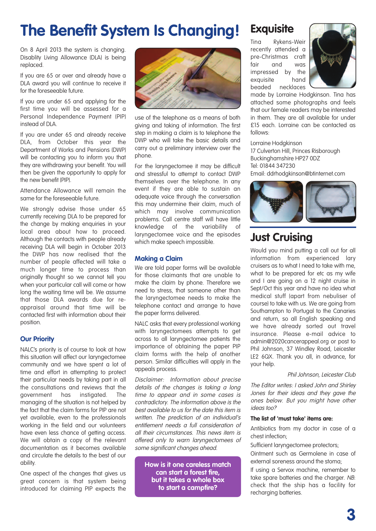# **The Benefit System Is Changing! Exquisite**

On 8 April 2013 the system is changing. Disablity Living Allowance (DLA) is being replaced.

If you are 65 or over and already have a DLA award you will continue to receive it for the foreseeable future.

If you are under 65 and applying for the first time you will be assessed for a Personal Independence Payment (PIP) instead of DLA.

If you are under 65 and already receive DLA, from October this year the Department of Works and Pensions (DWP) will be contacting you to inform you that they are withdrawing your benefit. You will then be given the opportunity to apply for the new benefit (PIP).

Attendance Allowance will remain the same for the foreseeable future.

We strongly advise those under 65 currently receiving DLA to be prepared for the change by making enquiries in your local area about how to proceed. Although the contacts with people already receiving DLA will begin in October 2013 the DWP has now realised that the number of people affected will take a much longer time to process than originally thought so we cannot tell you when your particular call will come or how long the waiting time will be. We assume that those DLA awards due for reappraisal around that time will be contacted first with information about their position.

#### **Our Priority**

NALC's priority is of course to look at how this situation will affect our laryngectomee community and we have spent a lot of time and effort in attempting to protect their particular needs by taking part in all the consultations and reviews that the government has instigated. The managing of the situation is not helped by the fact that the claim forms for PIP are not yet available, even to the professionals working in the field and our volunteers have even less chance of getting access. We will obtain a copy of the relevant documentation as it becomes available and circulate the details to the best of our ability.

One aspect of the changes that gives us great concern is that system being introduced for claiming PIP expects the



use of the telephone as a means of both giving and taking of information. The first step in making a claim is to telephone the DWP who will take the basic details and carry out a preliminary interview over the phone.

For the laryngectomee it may be difficult and stressful to attempt to contact DWP themselves over the telephone. In any event if they are able to sustain an adequate voice through the conversation this may undermine their claim, much of which may involve communication problems. Call centre staff will have little knowledge of the variability of laryngectomee voice and the episodes which make speech impossible.

#### **Making a Claim**

We are told paper forms will be available for those claimants that are unable to make the claim by phone. Therefore we need to stress, that someone other than the laryngectomee needs to make the telephone contact and arrange to have the paper forms delivered.

NALC asks that every professional working with laryngectomees attempts to get across to all laryngectomee patients the importance of obtaining the paper PIP claim forms with the help of another person. Similar difficulties will apply in the appeals process.

Disclaimer: Information about precise details of the changes is taking <sup>a</sup> long time to appear and in some cases is contradictory. The information above is the best available to us for the date this item is written. The prediction of an individual's entitlement needs <sup>a</sup> full consideration of all their circumstances. This news item is offered only to warn laryngectomees of some significant changes ahead.

**How is it one careless match can start a forest fire, but it takes a whole box to start a campfire?**

Rykens-Weir recently attended a pre-Christmas craft fair and was impressed by the exquisite hand beaded necklaces



made by Lorraine Hodgkinson. Tina has attached some photographs and feels that our female readers may be interested in them. They are all available for under £15 each. Lorraine can be contacted as follows:

Lorraine Hodgkinson 17 Culverton Hill, Princes Risborough Buckinghamshire HP27 0DZ Tel: 01844 347230 Email: ddrhodgkinson@btinternet.com



## **Just Cruising**

Would you mind putting a call out for all information from experienced lary cruisers as to what I need to take with me, what to be prepared for etc as my wife and I are going on a 12 night cruise in Sept/Oct this year and have no idea what medical stuff (apart from nebuliser of course) to take with us. We are going from Southampton to Portugal to the Canaries and return, so all English speaking and we have already sorted out travel insurance. Please e-mail advice to admin@2020cancerappeal.org or post to Phil Johnson, 37 Windley Road, Leicester LE2 6QX. Thank you all, in advance, for your help.

#### Phil Johnson, Leicester Club

The Editor writes: I asked John and Shirley Jones for their ideas and they gave the ones below. But you might have other ideas too?

#### **The list of 'must take' items are:**

Antibiotics from my doctor in case of a chest infection;

Sufficient laryngectomee protectors;

Ointment such as Germolene in case of external soreness around the stoma;

If using a Servox machine, remember to take spare batteries and the charger. NB: check that the ship has a facility for recharging batteries.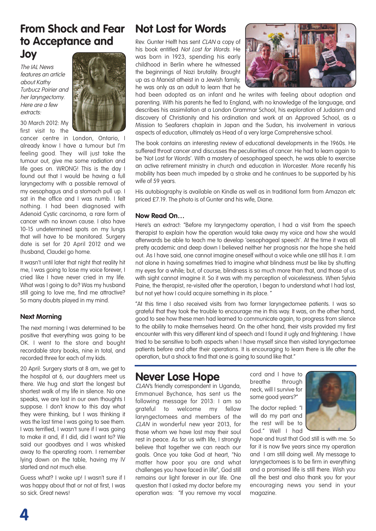## **From Shock and Fear to Acceptance and Joy**

The IAI News features an article about Kathy Turbucz Poirier and her laryngectomy. Here are <sup>a</sup> few extracts:

30 March 2012: My first visit to the

cancer centre in London, Ontario, I already know I have a tumour but I'm feeling good. They will just take the tumour out, give me some radiation and life goes on. WRONG! This is the day I found out that I would be having a full laryngectomy with a possible removal of my oesophagus and a stomach pull up. I sat in the office and I was numb. I felt nothing. I had been diagnosed with Adenoid Cystic carcinoma, a rare form of cancer with no known cause. I also have 10-15 undetermined spots on my lungs that will have to be monitored. Surgery date is set for 20 April 2012 and we (husband, Claude) go home.

It wasn't until later that night that reality hit me, I was going to lose my voice forever, I cried like I have never cried in my life. What was I going to do? Was my husband still going to love me, find me attractive? So many doubts played in my mind.

#### **Next Morning**

The next morning I was determined to be positive that everything was going to be OK. I went to the store and bought recordable story books, nine in total, and recorded three for each of my kids.

20 April: Surgery starts at 8 am, we get to the hospital at 6, our daughters meet us there. We hug and start the longest but shortest walk of my life in silence. No one speaks, we are lost in our own thoughts I suppose. I don't know to this day what they were thinking, but I was thinking it was the last time I was going to see them. I was terrified, I wasn't sure if I was going to make it and, if I did, did I want to? We said our goodbyes and I was whisked away to the operating room. I remember lying down on the table, having my IV started and not much else.

Guess what? I woke up! I wasn't sure if I was happy about that or not at first, I was so sick. Great news!

## **Not Lost for Words**

Rev. Gunter Helft has sent CLAN a copy of his book entitled Not Lost for Words. He was born in 1923, spending his early childhood in Berlin where he witnessed the beginnings of Nazi brutality. Brought up as a Marxist atheist in a Jewish family, he was only as an adult to learn that he



had been adopted as an infant and he writes with feeling about adoption and parenting. With his parents he fled to England, with no knowledge of the language, and describes his assimilation at a London Grammar School, his exploration of Judaism and discovery of Christianity and his ordination and work at an Approved School, as a Mission to Seafarers chaplain in Japan and the Sudan, his involvement in various aspects of education, ultimately as Head of a very large Comprehensive school.

The book contains an interesting review of educational developments in the 1960s. He suffered throat cancer and discusses the peculiarities of cancer. He had to learn again to be 'Not Lost for Words'. With a mastery of oesophageal speech, he was able to exercise an active retirement ministry in church and education in Worcester. More recently his mobility has been much impeded by a stroke and he continues to be supported by his wife of 59 years.

His autobiography is available on Kindle as well as in traditional form from Amazon etc priced £7.19. The photo is of Gunter and his wife, Diane.

#### **Now Read On…**

Here's an extract: "Before my laryngectomy operation, I had a visit from the speech therapist to explain how the operation would take away my voice and how she would afterwards be able to teach me to develop 'oesophageal speech'. At the time it was all pretty academic and deep down I believed neither her prognosis nor the hope she held out. As I have said, one cannot imagine oneself without a voice while one still has it. I am not alone in having sometimes tried to imagine what blindness must be like by shutting my eyes for a while; but, of course, blindness is so much more than that, and those of us with sight cannot imagine it. So it was with my perception of voicelessness. When Sylvia Paine, the therapist, re-visited after the operation, I began to understand what I had lost, but not yet how I could acquire something in its place. "

"At this time I also received visits from two former laryngectomee patients. I was so grateful that they took the trouble to encourage me in this way. It was, on the other hand, good to see how these men had learned to communicate again, to progress from silence to the ability to make themselves heard. On the other hand, their visits provided my first encounter with this very different kind of speech and I found it ugly and frightening. I have tried to be sensitive to both aspects when I have myself since then visited laryngectomee patients before and after their operations. It is encouraging to learn there is life after the operation, but a shock to find that one is going to sound like that."

### **Never Lose Hope**

CLAN's friendly correspondent in Uganda, Emmanuel Bychance, has sent us the following message for 2013: I am so grateful to welcome my fellow laryngectomees and members of the CLAN in wonderful new year 2013, for those whom we have lost may their soul rest in peace. As for us with life, I strongly believe that together we can reach our goals. Once you take God at heart, "No matter how poor you are and what challenges you have faced in life", God still remains our light forever in our life. One question that I asked my doctor before my operation was: "If you remove my vocal

cord and I have to breathe through neck, will I survive for some good years?"

The doctor replied: "I will do my part and the rest will be to God." Well I had



hope and trust that God still is with me. So far it is now five years since my operation and I am still doing well. My message to laryngectomees is to be firm in everything and a promised life is still there. Wish you all the best and also thank you for your encouraging news you send in your magazine.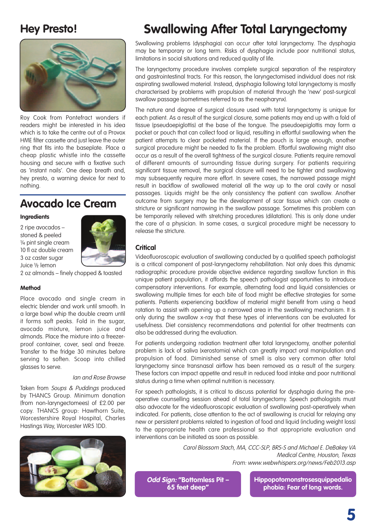## **Hey Presto!**



Roy Cook from Pontefract wonders if readers might be interested in his idea which is to take the centre out of a Provox HME filter cassette and just leave the outer ring that fits into the baseplate. Place a cheap plastic whistle into the cassette housing and secure with a fixative such as 'instant nails'. One deep breath and, hey presto, a warning device for next to nothing.

## **Avocado Ice Cream**

#### **Ingredients**

2 ripe avocados – stoned & peeled ¼ pint single cream 10 fl oz double cream 3 oz caster sugar Juice ½ lemon



2 oz almonds – finely chopped & toasted

#### **Method**

Place avocado and single cream in electric blender and work until smooth. In a large bowl whip the double cream until it forms soft peaks. Fold in the sugar, avocado mixture, lemon juice and almonds. Place the mixture into a freezerproof container, cover, seal and freeze. Transfer to the fridge 30 minutes before serving to soften. Scoop into chilled glasses to serve.

#### Ian and Rose Browse

Taken from Soups & Puddings produced by THANCS Group. Minimum donation (from non-laryngectomees) of £2.00 per copy. THANCS group: Hawthorn Suite, Worcestershire Royal Hospital, Charles Hastings Way, Worcester WR5 1DD.



## **Swallowing After Total Laryngectomy**

Swallowing problems (dysphagia) can occur after total laryngectomy. The dysphagia may be temporary or long term. Risks of dysphagia include poor nutritional status, limitations in social situations and reduced quality of life.

The laryngectomy procedure involves complete surgical separation of the respiratory and gastrointestinal tracts. For this reason, the laryngectomised individual does not risk aspirating swallowed material. Instead, dysphagia following total laryngectomy is mostly characterised by problems with propulsion of material through the 'new' post-surgical swallow passage (sometimes referred to as the neopharynx).

The nature and degree of surgical closure used with total laryngectomy is unique for each patient. As a result of the surgical closure, some patients may end up with a fold of tissue (pseudoepiglottis) at the base of the tongue. The pseudoepiglottis may form a pocket or pouch that can collect food or liquid, resulting in effortful swallowing when the patient attempts to clear pocketed material. If the pouch is large enough, another surgical procedure might be needed to fix the problem. Effortful swallowing might also occur as a result of the overall tightness of the surgical closure. Patients require removal of different amounts of surrounding tissue during surgery. For patients requiring significant tissue removal, the surgical closure will need to be tighter and swallowing may subsequently require more effort. In severe cases, the narrowed passage might result in backflow of swallowed material all the way up to the oral cavity or nasal passages. Liquids might be the only consistency the patient can swallow. Another outcome from surgery may be the development of scar tissue which can create a stricture or significant narrowing in the swallow passage. Sometimes this problem can be temporarily relieved with stretching procedures (dilatation). This is only done under the care of a physician. In some cases, a surgical procedure might be necessary to release the stricture.

#### **Critical**

Videofluoroscopic evaluation of swallowing conducted by a qualified speech pathologist is a critical component of post-laryngectomy rehabilitation. Not only does this dynamic radiographic procedure provide objective evidence regarding swallow function in this unique patient population, it affords the speech pathologist opportunities to introduce compensatory interventions. For example, alternating food and liquid consistencies or swallowing multiple times for each bite of food might be effective strategies for some patients. Patients experiencing backflow of material might benefit from using a head rotation to assist with opening up a narrowed area in the swallowing mechanism. It is only during the swallow x-ray that these types of interventions can be evaluated for usefulness. Diet consistency recommendations and potential for other treatments can also be addressed during the evaluation.

For patients undergoing radiation treatment after total laryngectomy, another potential problem is lack of saliva (xerostomia) which can greatly impact oral manipulation and propulsion of food. Diminished sense of smell is also very common after total laryngectomy since transnasal airflow has been removed as a result of the surgery. These factors can impact appetite and result in reduced food intake and poor nutritional status during a time when optimal nutrition is necessary.

For speech pathologists, it is critical to discuss potential for dysphagia during the preoperative counselling session ahead of total laryngectomy. Speech pathologists must also advocate for the videofluoroscopic evaluation of swallowing post-operatively when indicated. For patients, close attention to the act of swallowing is crucial for relaying any new or persistent problems related to ingestion of food and liquid (including weight loss) to the appropriate health care professional so that appropriate evaluation and interventions can be initiated as soon as possible.

> Carol Blossom Stach, MA, CCC-SLP, BRS-S and Michael E. DeBakey VA Medical Centre, Houston, Texas From: www.webwhispers.org/news/Feb2013.asp

**Odd Sign: "Bottomless Pit – 65 feet deep"**

**Hippopotomonstrosesquippedalio phobia: Fear of long words.**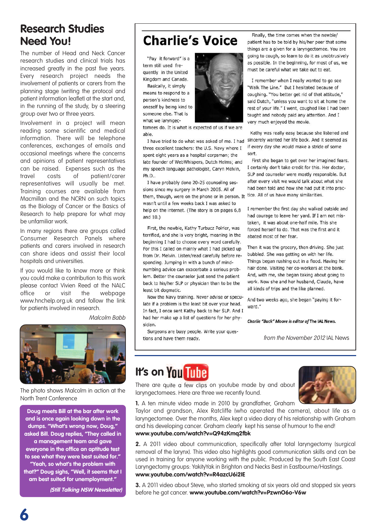## **Research Studies Need You!**

The number of Head and Neck Cancer research studies and clinical trials has increased greatly in the past five years. Every research project needs the involvement of patients or carers from the planning stage (writing the protocol and patient information leaflet) at the start and, in the running of the study, by a steering group over two or three years.

Involvement in a project will mean reading some scientific and medical information. There will be telephone conferences, exchanges of emails and occasional meetings where the concerns and opinions of patient representatives can be raised. Expenses such as the travel costs of patient/carer representatives will usually be met. Training courses are available from Macmillan and the NCRN on such topics as the Biology of Cancer or the Basics of Research to help prepare for what may be unfamiliar work.

In many regions there are groups called Consumer Research Panels where patients and carers involved in research can share ideas and assist their local hospitals and universities.

If you would like to know more or think you could make a contribution to this work please contact Vivien Reed at the NALC office or visit the webpage www.hnchelp.org.uk and follow the link for patients involved in research.

Malcolm Babb



The photo shows Malcolm in action at the North Trent Conference

**Doug meets Bill at the bar after work and is once again looking down in the dumps. "What's wrong now, Doug," asked Bill. Doug replies, "They called in a management team and gave everyone in the office an aptitude test to see what they were best suited for." "Yeah, so what's the problem with that?" Doug sighs, "Well, it seems that I am best suited for unemployment."**

**(Still Talking NSW Newsletter)**

## **Charlie's Voice**

"Pay it forward" is a term still used frequently in the United Kingdom and Canada.

Basically, it simply means to respond to a person's kindness to oneself by being kind to someone else. That is what we larvngec-



tomees do. It is what is expected of us if we are able.

three excellent teachers: the U.S. Navy where I spent eight years as a hospital corpsman; the late founder of WebWhispers, Dutch Helms; and my speech language pathologist, Caryn Melvin, Ph.D..

I have probably done 20-25 counseling sessions since my surgery in March 2005. All of them, though, were on the phone or in person. It tice. All of us have many similarities. wasn't until a few weeks back I was asked to help on the internet. (The story is on pages 6,8 and 10.)

First, the newbie, Kathy Turbucz Poirier, was terrified, and she is very bright, meaning in the beginning I had to choose every word carefully. For this I called on mainly what I had picked up from Dr. Melvin. Listen/read carefully before responding. Jumping in with a bunch of mindnumbing advice can exacerbate a serious problem. Better the counselor just send the patient back to his/her SLP or physician than to be the least bit doomatic.

Now the Navy training. Never advise or speculate if a problem is the least bit over your head. In fact, I once sent Kathy back to her SLP, And I had her make up a list of questions for her physician.

Surgeons are busy people. Write your questions and have them ready.

Finally, the time comes when the newbie/ patient has to be told by his/her peer that some things are a given for a laryngectomee. You are going to cough, so learn to do it as unobtrusively as possible. In the beginning, for most of us, we must be careful what we take out to eat.

I remember when I really wanted to go see "Walk The Line." But I hesitated because of coughing. "You better get rid of that attitude," said Dutch, "unless you want to sit at home the rest of your life." I went, coughed like I had been taught and nobody paid any attention. And I very much enjoyed the movie.

Kathy was really easy because she listened and I have tried to do what was asked of me. I had sincerely wanted her life back. And it seemed as if every day she would make a stride of some sort.

> First she began to get over her imagined fears. I certainly don't take credit for this. Her doctor. SLP and counselor were mostly responsible. But after every visit we would talk about what she had been told and how she had put it into prac-

> I remember the first day she walked outside and had courage to leave her yard. If I am not mistaken. it was about one-half mile. This she forced herself to do. That was the first and it abated most of her fear.

Then it was the grocery, then driving. She just bubbled. She was getting on with her life. Things began rushing out in a flood. Having her hair done. Visiting her co-workers at the bank. And, with me, she began taking about going to work. Now she and her husband, Claude, have all kinds of trips and the like planned.

And two weeks ago, she began "paying it forward."

Charlie "Buck" Moore is editor of The IAL News.

from the November 2012 IAL News

## **It's** on You Tube

There are quite a few clips on youtube made by and about laryngectomees. Here are three we recently found.



**1.** A ten minute video made in 2010 by grandfather, Graham

Taylor and grandson, Alex Ratcliffe (who operated the camera), about life as a laryngectomee. Over the months, Alex kept a video diary of his relationship with Graham and his developing cancer. Graham clearly kept his sense of humour to the end! **www.youtube.com/watch?v=Q94zKmq2fbk**

**2.** A 2011 video about communication, specifically after total laryngectomy (surgical removal of the larynx). This video also highlights good communication skills and can be used in training for anyone working with the public. Produced by the South East Coast Laryngectomy groups: YakityYak in Brighton and Necks Best in Eastbourne/Hastings. **www.youtube.com/watch?v=R4azcU6i2IE**

**3.** A 2011 video about Steve, who started smoking at six years old and stopped six years before he got cancer. **www.youtube.com/watch?v=PzwnO6o-V6w**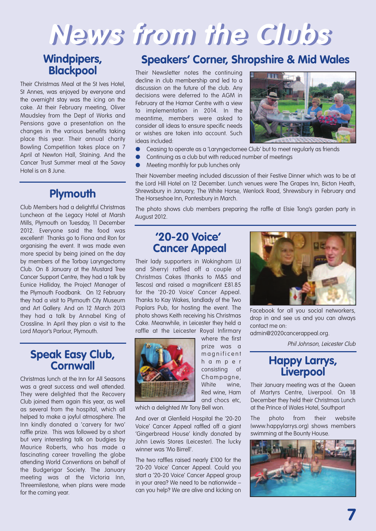# **News from the Clubs**

## **Windpipers, Blackpool**

Their Christmas Meal at the St Ives Hotel, St Annes, was enjoyed by everyone and the overnight stay was the icing on the cake. At their February meeting, Oliver Maudsley from the Dept of Works and Pensions gave a presentation on the changes in the various benefits taking place this year. Their annual charity Bowling Competition takes place on 7 April at Newton Hall, Staining. And the Cancer Trust Summer meal at the Savoy Hotel is on 8 June.

## **Plymouth**

Club Members had a delightful Christmas Luncheon at the Legacy Hotel at Marsh Mills, Plymouth on Tuesday, 11 December 2012. Everyone said the food was excellent! Thanks go to Fiona and Ron for organising the event. It was made even more special by being joined on the day by members of the Torbay Laryngectomy Club. On 8 January at the Mustard Tree Cancer Support Centre, they had a talk by Eunice Halliday, the Project Manager of the Plymouth Foodbank. On 12 February they had a visit to Plymouth City Museum and Art Gallery. And on 12 March 2013 they had a talk by Annabel King of Crossline. In April they plan a visit to the Lord Mayor's Parlour, Plymouth.

#### **Speak Easy Club, Cornwall**

Christmas lunch at the Inn for All Seasons was a great success and well attended. They were delighted that the Recovery Club joined them again this year, as well as several from the hospital, which all helped to make a joyful atmosphere. The Inn kindly donated a 'carvery for two' raffle prize. This was followed by a short but very interesting talk on budgies by Maurice Roberts, who has made a fascinating career travelling the globe attending World Conventions on behalf of the Budgerigar Society. The January meeting was at the Victoria Inn, Threemilestone, when plans were made for the coming year.

## **Speakers' Corner, Shropshire & Mid Wales**

Their Newsletter notes the continuing decline in club membership and led to a discussion on the future of the club. Any decisions were deferred to the AGM in February at the Hamar Centre with a view to implementation in 2014. In the meantime, members were asked to consider all ideas to ensure specific needs or wishes are taken into account. Such ideas included:



- **●** Ceasing to operate as a 'Laryngectomee Club' but to meet regularly as friends
- **●** Continuing as a club but with reduced number of meetings
- **●** Meeting monthly for pub lunches only

Their November meeting included discussion of their Festive Dinner which was to be at the Lord Hill Hotel on 12 December. Lunch venues were The Grapes Inn, Bicton Heath, Shrewsbury in January; The White Horse, Wenlock Road, Shrewsbury in February and The Horseshoe Inn, Pontesbury in March.

The photo shows club members preparing the raffle at Elsie Tong's garden party in August 2012.

### **'20-20 Voice' Cancer Appeal**

Their lady supporters in Wokingham (JJ and Sherry) raffled off a couple of Christmas Cakes (thanks to M&S and Tescos) and raised a magnificent £81.85 for the '20-20 Voice' Cancer Appeal. Thanks to Kay Wakes, landlady of the Two Poplars Pub, for hosting the event. The photo shows Keith receiving his Christmas Cake. Meanwhile, in Leicester they held a raffle at the Leicester Royal Infirmary



where the first prize was a m a g n ific e n t h a m p e r consisting of Champagne, White wine, Red wine, Ham and chocs etc,

which a delighted Mr Tony Bell won.

And over at Glenfield Hospital the '20-20 Voice' Cancer Appeal raffled off a giant 'Gingerbread House' kindly donated by John Lewis Stores (Leicester). The lucky winner was 'Mo Birrell'.

The two raffles raised nearly £100 for the '20-20 Voice' Cancer Appeal. Could you start a '20-20 Voice' Cancer Appeal group in your area? We need to be nationwide – can you help? We are alive and kicking on



Facebook for all you social networkers, drop in and see us and you can always contact me on:

admin@2020cancerappeal.org.

Phil Johnson, Leicester Club

## **Happy Larrys, Liverpool**

Their January meeting was at the Queen of Martyrs Centre, Liverpool. On 18 December they held their Christmas Lunch at the Prince of Wales Hotel, Southport

The photo from their website (www.happylarrys.org) shows members swimming at the Bounty House.